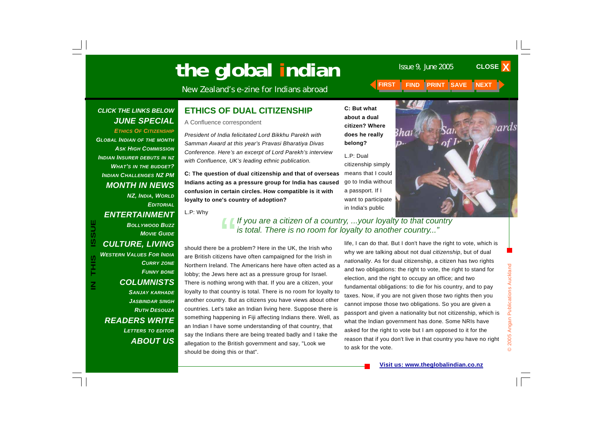# **The global indian** Issue 9, June 2005

New Zealand's e-zine for Indians abroad **FIRST FIND PRINT SAVE NEXT** 

### *CLICK THE LINKS BELOW JUNE SPECIAL*

*ETHICS OF CITIZENSHIPGLOBAL INDIAN OF THE MONTH ASK HIGH COMMISSIONINDIAN INSURER DEBUTS IN NZ WHAT'S IN THE BUDGET? INDIAN CHALLENGES NZ PM MONTH IN NEWS* 

*NZ, INDIA, WORLD EDITORIALENTERTAINMENT BOLLYWOOD BUZZMOVIE GUIDECULTURE, LIVING WESTERN VALUES FOR INDIACURRY ZONE FUNNY BONE COLUMNISTS SANJAY KARHADE JASBINDAR SINGH RUTH DESOUZAREADERS WRITE LETTERS TO EDITOR ABOUT US*

**IN THIS ISSUE**

この

<u>ທີ</u>

### **ETHICS OF DUAL CITIZENSHIP**

A Confluence correspondent

*President of India felicitated Lord Bikkhu Parekh with Samman Award at this year's Pravasi Bharatiya Divas Conference. Here's an excerpt of Lord Parekh's interview with Confluence, UK's leading ethnic publication.* 

**C: The question of dual citizenship and that of overseas Indians acting as a pressure group for India has caused confusion in certain circles. How compatible is it with loyalty to one's country of adoption?** 

L.P: Why

# "*If you are a citizen of a country, ...your loyalty to that country is total. There is no room for loyalty to another country..."*

**C: But what about a dual citizen? Where does he really** 

**belong?** 

L.P: Dual

a passport. If I

in India's public

should there be a problem? Here in the UK, the Irish who are British citizens have often campaigned for the Irish in Northern Ireland. The Americans here have often acted as a lobby; the Jews here act as a pressure group for Israel. There is nothing wrong with that. If you are a citizen, your loyalty to that country is total. There is no room for loyalty to another country. But as citizens you have views about other countries. Let's take an Indian living here. Suppose there is something happening in Fiji affecting Indians there. Well, as an Indian I have some understanding of that country, that say the Indians there are being treated badly and I take the allegation to the British government and say, "Look we should be doing this or that".

life, I can do that. But I don't have the right to vote, which is why we are talking about not dual *citizenship*, but of dual *nationality*. As for dual citizenship, a citizen has two rights and two obligations: the right to vote, the right to stand for election, and the right to occupy an office; and two fundamental obligations: to die for his country, and to pay taxes. Now, if you are not given those two rights then you cannot impose those two obligations. So you are given a passport and given a nationality but not citizenship, which is what the Indian government has done. Some NRIs have asked for the right to vote but I am opposed to it for the reason that if you don't live in that country you have no right to ask for the vote.



**CLOSE X** 

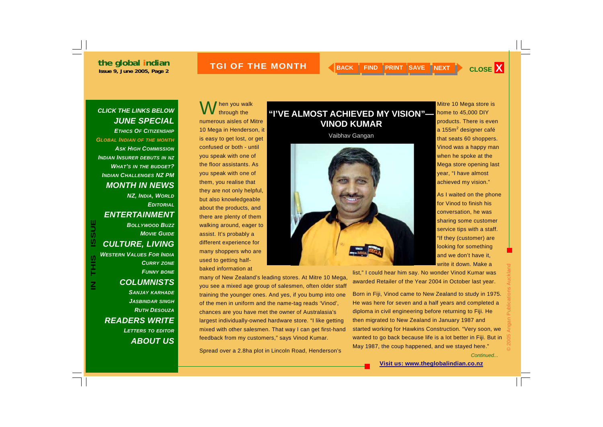### **ISSUE 2005 THE MONTH A READ READ PRINT SAVE NEXT A CLOSE X**

### *CLICK THE LINKS BELOW JUNE SPECIAL ETHICS OF CITIZENSHIPGLOBAL INDIAN OF THE MONTH*

*ASK HIGH COMMISSIONINDIAN INSURER DEBUTS IN NZ WHAT'S IN THE BUDGET? INDIAN CHALLENGES NZ PM MONTH IN NEWS* 

*NZ, INDIA, WORLD EDITORIALENTERTAINMENT BOLLYWOOD BUZZMOVIE GUIDECULTURE, LIVING* 

*WESTERN VALUES FOR INDIACURRY ZONE FUNNY BONE COLUMNISTS SANJAY KARHADE JASBINDAR SINGH RUTH DESOUZAREADERS WRITE* 

**IN THIS ISSUE**

S<br>王

**USSU** 

*LETTERS TO EDITOR ABOUT US*

hen you walk<br>through the numerous aisles of Mitre 10 Mega in Henderson, it is easy to get lost, or get confused or both - until you speak with one of the floor assistants. As you speak with one of them, you realise that they are not only helpful, but also knowledgeable about the products, and there are plenty of them walking around, eager to assist. It's probably a different experience for many shoppers who are used to getting half-

baked information at

many of New Zealand's leading stores. At Mitre 10 Mega, you see a mixed age group of salesmen, often older staff training the younger ones. And yes, if you bump into one of the men in uniform and the name-tag reads 'Vinod', chances are you have met the owner of Australasia's largest individually-owned hardware store. "I like getting mixed with other salesmen. That way I can get first-hand feedback from my customers," says Vinod Kumar.

Spread over a 2.8ha plot in Lincoln Road, Henderson's

## **"I'VE ALMOST ACHIEVED MY VISION"— VINOD KUMAR**

Vaibhav Gangan



Mitre 10 Mega store is home to 45,000 DIY products. There is even a 155m<sup>2</sup> designer café that seats 60 shoppers. Vinod was a happy man when he spoke at the Mega store opening last year, "I have almost achieved my vision."

As I waited on the phone for Vinod to finish his conversation, he was sharing some customer service tips with a staff. "If they (customer) are looking for something and we don't have it, write it down. Make a

list," I could hear him say. No wonder Vinod Kumar was awarded Retailer of the Year 2004 in October last year.

Born in Fiji, Vinod came to New Zealand to study in 1975. He was here for seven and a half years and completed a diploma in civil engineering before returning to Fiji. He then migrated to New Zealand in January 1987 and started working for Hawkins Construction. "Very soon, we wanted to go back because life is a lot better in Fiji. But in May 1987, the coup happened, and we stayed here."

*Continued...*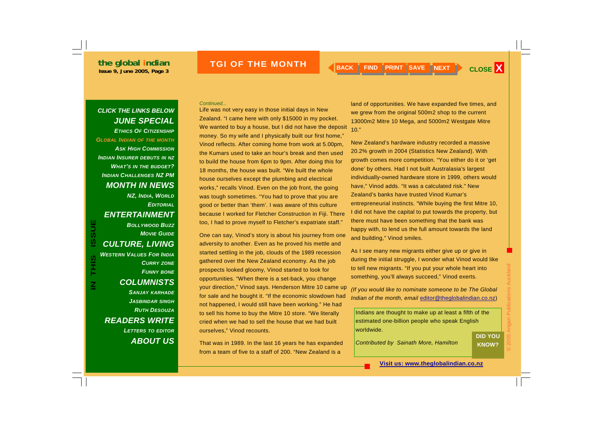## **ISSUE 2005 THE MONTH A BACK FIND PRINT SAVE NEXT CLOSE X**

### *CLICK THE LINKS BELOW JUNE SPECIAL ETHICS OF CITIZENSHIPGLOBAL INDIAN OF THE MONTH*

*ASK HIGH COMMISSIONINDIAN INSURER DEBUTS IN NZ WHAT'S IN THE BUDGET? INDIAN CHALLENGES NZ PM MONTH IN NEWS* 

*NZ, INDIA, WORLD EDITORIALENTERTAINMENT BOLLYWOOD BUZZMOVIE GUIDECULTURE, LIVING WESTERN VALUES FOR INDIA*

**IN THIS ISSUE**

S<br>HHS

**ISSUE** 

*CURRY ZONE FUNNY BONE COLUMNISTS SANJAY KARHADE JASBINDAR SINGH RUTH DESOUZAREADERS WRITE LETTERS TO EDITOR*

*ABOUT US*

*Continued...* 

Life was not very easy in those initial days in New Zealand. "I came here with only \$15000 in my pocket. We wanted to buy a house, but I did not have the deposit money. So my wife and I physically built our first home," Vinod reflects. After coming home from work at 5.00pm, the Kumars used to take an hour's break and then used to build the house from 6pm to 9pm. After doing this for 18 months, the house was built. "We built the whole house ourselves except the plumbing and electrical works," recalls Vinod. Even on the job front, the going was tough sometimes. "You had to prove that you are good or better than 'them'. I was aware of this culture because I worked for Fletcher Construction in Fiji. There too, I had to prove myself to Fletcher's expatriate staff."

One can say, Vinod's story is about his journey from one adversity to another. Even as he proved his mettle and started settling in the job, clouds of the 1989 recession gathered over the New Zealand economy. As the job prospects looked gloomy, Vinod started to look for opportunities. "When there is a set-back, you change your direction," Vinod says. Henderson Mitre 10 came up for sale and he bought it. "If the economic slowdown had not happened, I would still have been working." He had to sell his home to buy the Mitre 10 store. "We literally cried when we had to sell the house that we had built ourselves," Vinod recounts.

That was in 1989. In the last 16 years he has expanded from a team of five to a staff of 200. "New Zealand is a

land of opportunities. We have expanded five times, and we grew from the original 500m2 shop to the current 13000m2 Mitre 10 Mega, and 5000m2 Westgate Mitre  $10.$ "

New Zealand's hardware industry recorded a massive 20.2% growth in 2004 (Statistics New Zealand). With growth comes more competition. "You either do it or 'get done' by others. Had I not built Australasia's largest individually-owned hardware store in 1999, others would have," Vinod adds. "It was a calculated risk." New Zealand's banks have trusted Vinod Kumar's entrepreneurial instincts. "While buying the first Mitre 10, I did not have the capital to put towards the property, but there must have been something that the bank was happy with, to lend us the full amount towards the land and building," Vinod smiles.

As I see many new migrants either give up or give in during the initial struggle, I wonder what Vinod would like to tell new migrants. "If you put your whole heart into something, you'll always succeed," Vinod exerts.

*(If you would like to nominate someone to be The Global Indian of the month, email* editor@theglobalindian.co.nz)

Indians are thought to make up at least a fifth of the estimated one-billion people who speak English worldwide.

*Contributed by Sainath More, Hamilton* 

© 2005 Angan Publications Auckland **DID YOU KNOW?**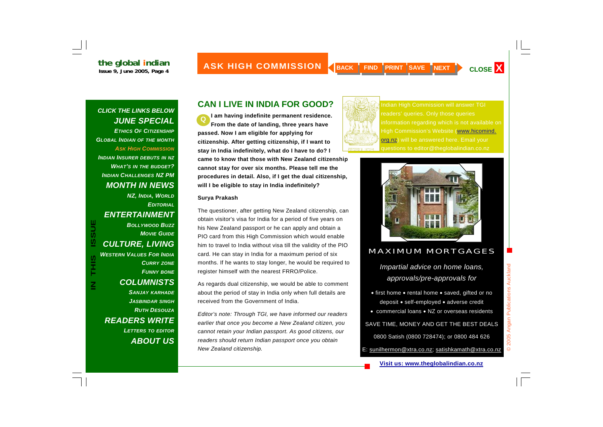LINE GIODAL INCHAN **ASK HIGH COMMISSION A BACK FIND PRINT SAVE NEXT CLOSE X MONTH** 

### *CLICK THE LINKS BELOW JUNE SPECIAL ETHICS OF CITIZENSHIPGLOBAL INDIAN OF THE MONTH ASK HIGH COMMISSIONINDIAN INSURER DEBUTS IN NZ WHAT'S IN THE BUDGET? INDIAN CHALLENGES NZ PM MONTH IN NEWS*

*NZ, INDIA, WORLD EDITORIALENTERTAINMENT BOLLYWOOD BUZZMOVIE GUIDECULTURE, LIVING WESTERN VALUES FOR INDIACURRY ZONE FUNNY BONE COLUMNISTS SANJAY KARHADE JASBINDAR SINGH RUTH DESOUZAREADERS WRITE LETTERS TO EDITOR*

**IN THIS ISSUE**

S<br>HHS

**ISSUE** 

*ABOUT US*

### **CAN I LIVE IN INDIA FOR GOOD?**

**I am having indefinite permanent residence. From the date of landing, three years have passed. Now I am eligible for applying for citizenship. After getting citizenship, if I want to stay in India indefinitely, what do I have to do? I came to know that those with New Zealand citizenship cannot stay for over six months. Please tell me the procedures in detail. Also, if I get the dual citizenship, will I be eligible to stay in India indefinitely? Q** 

### **Surya Prakash**

The questioner, after getting New Zealand citizenship, can obtain visitor's visa for India for a period of five years on his New Zealand passport or he can apply and obtain a PIO card from this High Commission which would enable him to travel to India without visa till the validity of the PIO card. He can stay in India for a maximum period of six months. If he wants to stay longer, he would be required to register himself with the nearest FRRO/Police.

As regards dual citizenship, we would be able to comment about the period of stay in India only when full details are received from the Government of India.

*Editor's note: Through TGI, we have informed our readers earlier that once you become a New Zealand citizen, you cannot retain your Indian passport. As good citizens, our readers should return Indian passport once you obtain New Zealand citizenship.* 



Indian High Commission will answer TGI readers' queries. Only those queries information regarding which is not available on High Commission's Website (www.hicomind. org.nz) will be answered here. Email your questions to editor@theglobalindian.co.nz



### MAXIMUM MORTGAGES

*Impartial advice on home loans, approvals/pre-approvals for* 

- first home rental home saved, gifted or no deposit • self-employed • adverse credit
- commercial loans NZ or overseas residents

### SAVE TIME, MONEY AND GET THE BEST DEALS

0800 Satish (0800 728474); or 0800 484 626

E: sunilhermon@xtra.co.nz; satishkamath@xtra.co.nz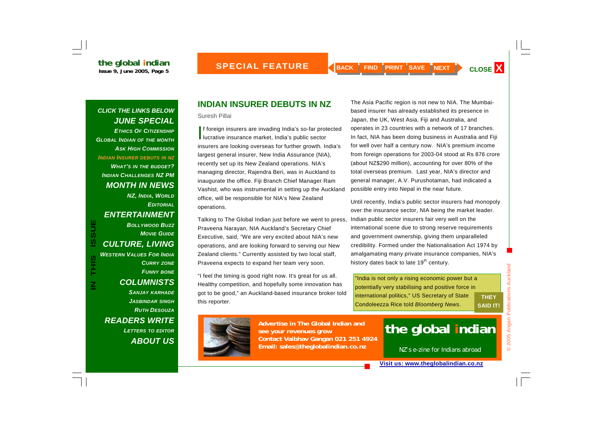### *CLICK THE LINKS BELOW JUNE SPECIAL ETHICS OF CITIZENSHIPGLOBAL INDIAN OF THE MONTH ASK HIGH COMMISSIONINDIAN INSURER DEBUTS IN NZ WHAT'S IN THE BUDGET? INDIAN CHALLENGES NZ PM MONTH IN NEWS*

*NZ, INDIA, WORLD EDITORIALENTERTAINMENT BOLLYWOOD BUZZMOVIE GUIDECULTURE, LIVING WESTERN VALUES FOR INDIACURRY ZONE FUNNY BONE COLUMNISTS SANJAY KARHADE JASBINDAR SINGH RUTH DESOUZAREADERS WRITE LETTERS TO EDITOR ABOUT US*

**IN THIS ISSUE**

THIS<br>T

 $\mathsf{\underline{Z}}$ 

**ISSUE** 

## **INDIAN INSURER DEBUTS IN NZ**

Suresh Pillai

If foreign insurers are invading India's so-far protected<br>lucrative insurance market, India's public sector insurers are looking overseas for further growth. India's largest general insurer, New India Assurance (NIA), recently set up its New Zealand operations. NIA's managing director, Rajendra Beri, was in Auckland to inaugurate the office. Fiji Branch Chief Manager Ram Vashist, who was instrumental in setting up the Auckland office, will be responsible for NIA's New Zealand operations.

Talking to The Global Indian just before we went to press, Praveena Narayan, NIA Auckland's Secretary Chief Executive, said, "We are very excited about NIA's new operations, and are looking forward to serving our New Zealand clients." Currently assisted by two local staff, Praveena expects to expand her team very soon.

"I feel the timing is good right now. It's great for us all. Healthy competition, and hopefully some innovation has got to be good," an Auckland-based insurance broker told this reporter.

The Asia Pacific region is not new to NIA. The Mumbaibased insurer has already established its presence in Japan, the UK, West Asia, Fiji and Australia, and operates in 23 countries with a network of 17 branches. In fact, NIA has been doing business in Australia and Fiji for well over half a century now. NIA's premium income from foreign operations for 2003-04 stood at Rs 876 crore (about NZ\$290 million), accounting for over 80% of the total overseas premium. Last year, NIA's director and general manager, A.V. Purushotaman, had indicated a possible entry into Nepal in the near future.

Until recently, India's public sector insurers had monopoly over the insurance sector, NIA being the market leader. Indian public sector insurers fair very well on the international scene due to strong reserve requirements and government ownership, giving them unparalleled credibility. Formed under the Nationalisation Act 1974 by amalgamating many private insurance companies, NIA's history dates back to late 19<sup>th</sup> century.

"India is not only a rising economic power but a potentially very stabilising and positive force in international politics," US Secretary of State Condoleezza Rice told *Bloomberg News*.

**THEY SAID IT!** 



**Advertise in The Global Indian and see your revenues grow Contact Vaibhav Gangan 021 251 4924 Email: sales@theglobalindian.co.nz**

# **the global indian**

NZ's e-zine for Indians abroad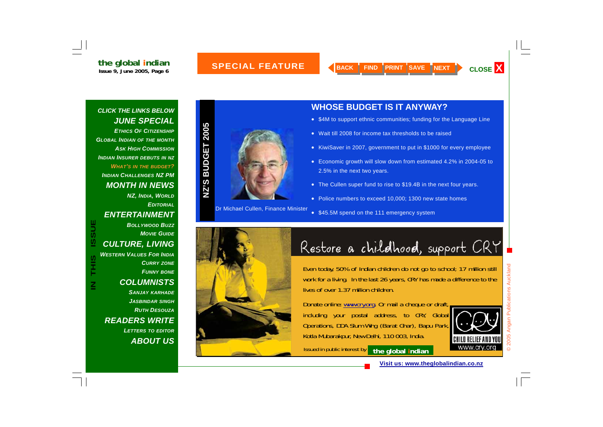### **SPECIAL FEATURE MONTH**

*CLICK THE LINKS BELOW JUNE SPECIAL ETHICS OF CITIZENSHIPGLOBAL INDIAN OF THE MONTH ASK HIGH COMMISSIONINDIAN INSURER DEBUTS IN NZ WHAT'S IN THE BUDGET? INDIAN CHALLENGES NZ PM MONTH IN NEWS NZ, INDIA, WORLD*

### *EDITORIALENTERTAINMENT*

*CULTURE, LIVING WESTERN VALUES FOR INDIA*

*BOLLYWOOD BUZZ*

*MOVIE GUIDE*

*CURRY ZONE*

### *FUNNY BONE COLUMNISTS SANJAY KARHADE JASBINDAR SINGH RUTH DESOUZAREADERS WRITE LETTERS TO EDITOR ABOUT US*



Dr Michael Cullen, Finance Minister

### **WHOSE BUDGET IS IT ANYWAY?**

- \$4M to support ethnic communities; funding for the Language Line
- Wait till 2008 for income tax thresholds to be raised
- KiwiSaver in 2007, government to put in \$1000 for every employee
- Economic growth will slow down from estimated 4.2% in 2004-05 to 2.5% in the next two years.
- The Cullen super fund to rise to \$19.4B in the next four years.
- Police numbers to exceed 10,000; 1300 new state homes
- \$45.5M spend on the 111 emergency system



# Restore a childhood, support CRY

Even today, 50% of Indian children do not go to school; 17 million still work for a living. In the last 26 years, CRY has made a difference to the lives of over 1.37 million children.

Donate online: www.cry.org. Or mail a cheque or draft, including your postal address, to CRY, Global Operations, DDA Slum Wing (Barat Ghar), Bapu Park, Kotla Mubarakpur, New Delhi, 110 003, India.

Issued in public interest by **the global indian**



**Visit us: www.theglobalindian.co.nz**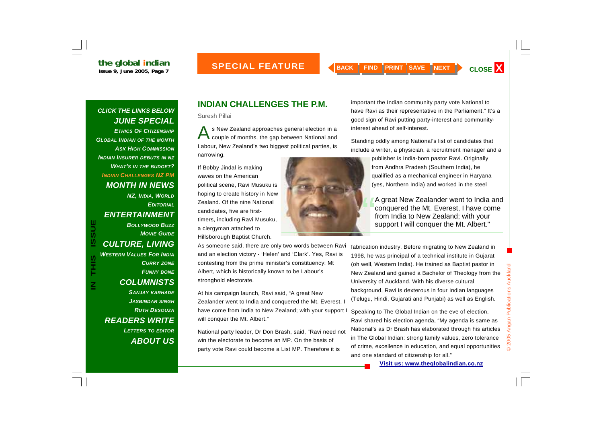### *CLICK THE LINKS BELOW JUNE SPECIAL ETHICS OF CITIZENSHIP*

*GLOBAL INDIAN OF THE MONTH ASK HIGH COMMISSIONINDIAN INSURER DEBUTS IN NZ WHAT'S IN THE BUDGET? INDIAN CHALLENGES NZ PM MONTH IN NEWS* 

*NZ, INDIA, WORLD EDITORIALENTERTAINMENT BOLLYWOOD BUZZMOVIE GUIDECULTURE, LIVING WESTERN VALUES FOR INDIACURRY ZONE FUNNY BONE*

**IN THIS ISSUE**

THIS<br>T

 $\mathbf{z}$ 

**ISSUE** 

*COLUMNISTS* 

*READERS WRITE* 

*SANJAY KARHADE JASBINDAR SINGH RUTH DESOUZA*

*LETTERS TO EDITOR ABOUT US* Suresh Pillai

s New Zealand approaches general election in a<br>couple of months, the gap between National and Labour, New Zealand's two biggest political parties, is narrowing.

If Bobby Jindal is making waves on the American political scene, Ravi Musuku is hoping to create history in New Zealand. Of the nine National candidates, five are firsttimers, including Ravi Musuku, a clergyman attached to Hillsborough Baptist Church.

As someone said, there are only two words between Ravi and an election victory - 'Helen' and 'Clark'. Yes, Ravi is contesting from the prime minister's constituency: Mt Albert, which is historically known to be Labour's stronghold electorate.

At his campaign launch, Ravi said, "A great New Zealander went to India and conquered the Mt. Everest, I have come from India to New Zealand; with your support I will conquer the Mt. Albert."

National party leader, Dr Don Brash, said, "Ravi need not win the electorate to become an MP. On the basis of party vote Ravi could become a List MP. Therefore it is

important the Indian community party vote National to have Ravi as their representative in the Parliament." It's a good sign of Ravi putting party-interest and communityinterest ahead of self-interest.

Standing oddly among National's list of candidates that include a writer, a physician, a recruitment manager and a

> publisher is India-born pastor Ravi. Originally from Andhra Pradesh (Southern India), he qualified as a mechanical engineer in Haryana (yes, Northern India) and worked in the steel

A great New Zealander went to India and<br>conquered the Mt. Everest, I have come from India to New Zealand; with your support I will conquer the Mt. Albert."

fabrication industry. Before migrating to New Zealand in 1998, he was principal of a technical institute in Gujarat (oh well, Western India). He trained as Baptist pastor in New Zealand and gained a Bachelor of Theology from the University of Auckland. With his diverse cultural background, Ravi is dexterous in four Indian languages (Telugu, Hindi, Gujarati and Punjabi) as well as English.

Speaking to The Global Indian on the eve of election, Ravi shared his election agenda, "My agenda is same as National's as Dr Brash has elaborated through his articles in The Global Indian: strong family values, zero tolerance of crime, excellence in education, and equal opportunities and one standard of citizenship for all."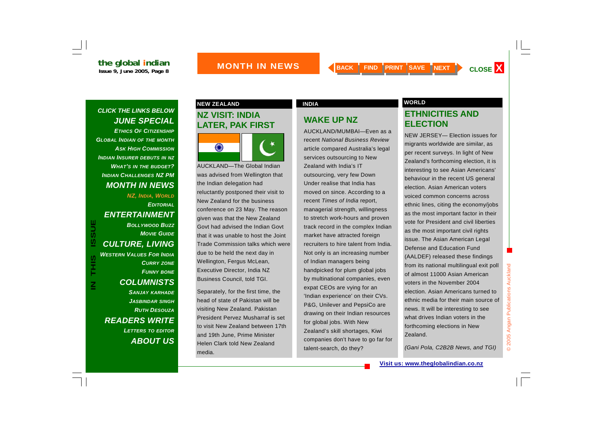### *CLICK THE LINKS BELOW JUNE SPECIAL*

*ETHICS OF CITIZENSHIPGLOBAL INDIAN OF THE MONTH ASK HIGH COMMISSIONINDIAN INSURER DEBUTS IN NZ WHAT'S IN THE BUDGET? INDIAN CHALLENGES NZ PM MONTH IN NEWS* 

*NZ, INDIA, WORLD EDITORIALENTERTAINMENT BOLLYWOOD BUZZMOVIE GUIDECULTURE, LIVING WESTERN VALUES FOR INDIACURRY ZONE FUNNY BONE COLUMNISTS SANJAY KARHADE JASBINDAR SINGH RUTH DESOUZAREADERS WRITE LETTERS TO EDITOR*

**IN THIS ISSUE**

S<br>HHS

 $\overline{\mathsf{z}}$ 

**ISSUE** 

*ABOUT US*

## **NZ VISIT: INDIA LATER, PAK FIRST**



AUCKLAND—The Global Indian was advised from Wellington that the Indian delegation had reluctantly postponed their visit to New Zealand for the business conference on 23 May. The reason given was that the New Zealand Govt had advised the Indian Govt that it was unable to host the Joint Trade Commission talks which were due to be held the next day in Wellington, Fergus McLean, Executive Director, India NZ Business Council, told TGI.

Separately, for the first time, the head of state of Pakistan will be visiting New Zealand. Pakistan President Pervez Musharraf is set to visit New Zealand between 17th and 19th June, Prime Minister Helen Clark told New Zealand media.

## **WAKE UP NZ**

AUCKLAND/MUMBAI—Even as a recent *National Business Review*article compared Australia's legal services outsourcing to New Zealand with India's IT outsourcing, very few Down Under realise that India has moved on since. According to a recent *Times of India* report, managerial strength, willingness to stretch work-hours and proven track record in the complex Indian market have attracted foreign recruiters to hire talent from India. Not only is an increasing number of Indian managers being handpicked for plum global jobs by multinational companies, even expat CEOs are vying for an 'Indian experience' on their CVs. P&G, Unilever and PepsiCo are drawing on their Indian resources for global jobs. With New Zealand's skill shortages, Kiwi companies don't have to go far for talent-search, do they?

### **NEW ZEALAND CONSUMING A REAL PROPERTY AND INDIA**

### **ETHNICITIES AND ELECTION**

NEW JERSEY— Election issues for migrants worldwide are similar, as per recent surveys. In light of New Zealand's forthcoming election, it is interesting to see Asian Americans' behaviour in the recent US general election. Asian American voters voiced common concerns across ethnic lines, citing the economy/jobs as the most important factor in their vote for President and civil liberties as the most important civil rights issue. The Asian American Legal Defense and Education Fund (AALDEF) released these findings from its national multilingual exit poll of almost 11000 Asian American voters in the November 2004 election. Asian Americans turned to ethnic media for their main source of news. It will be interesting to see what drives Indian voters in the forthcoming elections in New Zealand.

*(Gani Pola, C2B2B News, and TGI)*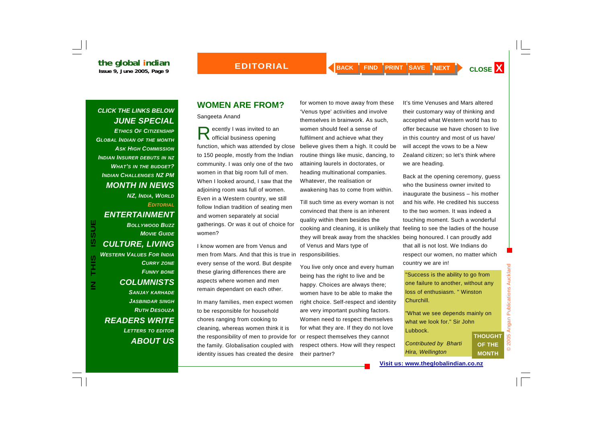### *CLICK THE LINKS BELOW JUNE SPECIAL ETHICS OF CITIZENSHIP*

*GLOBAL INDIAN OF THE MONTH ASK HIGH COMMISSIONINDIAN INSURER DEBUTS IN NZ WHAT'S IN THE BUDGET? INDIAN CHALLENGES NZ PM MONTH IN NEWS* 

*NZ, INDIA, WORLD EDITORIALENTERTAINMENT BOLLYWOOD BUZZMOVIE GUIDECULTURE, LIVING* 

*WESTERN VALUES FOR INDIACURRY ZONE FUNNY BONE COLUMNISTS SANJAY KARHADE JASBINDAR SINGH RUTH DESOUZAREADERS WRITE LETTERS TO EDITOR ABOUT US*

## **WOMEN ARE FROM?**

Sangeeta Anand

ecently I was invited to an official business opening function, which was attended by close to 150 people, mostly from the Indian community. I was only one of the two women in that big room full of men. When I looked around, I saw that the adjoining room was full of women. Even in a Western country, we still follow Indian tradition of seating men and women separately at social gatherings. Or was it out of choice for women?

I know women are from Venus and men from Mars. And that this is true in responsibilities. every sense of the word. But despite these glaring differences there are aspects where women and men remain dependant on each other. **IN THIS ISSUE** "Success is the ability to go from one failure to another, without any loss of enthusiasm. " Winston

> In many families, men expect women to be responsible for household chores ranging from cooking to cleaning, whereas women think it is the responsibility of men to provide for the family. Globalisation coupled with identity issues has created the desire

for women to move away from these 'Venus type' activities and involve themselves in brainwork. As such, women should feel a sense of fulfilment and achieve what they believe gives them a high. It could be routine things like music, dancing, to attaining laurels in doctorates, or heading multinational companies. Whatever, the realisation or awakening has to come from within.

Till such time as every woman is not convinced that there is an inherent quality within them besides the they will break away from the shackles being honoured. I can proudly add of Venus and Mars type of

You live only once and every human being has the right to live and be happy. Choices are always there; women have to be able to make the right choice. Self-respect and identity are very important pushing factors. Women need to respect themselves for what they are. If they do not love or respect themselves they cannot respect others. How will they respect their partner?

It's time Venuses and Mars altered their customary way of thinking and accepted what Western world has to offer because we have chosen to live in this country and most of us have/ will accept the vows to be a New Zealand citizen; so let's think where we are heading.

cooking and cleaning, it is unlikely that feeling to see the ladies of the house Back at the opening ceremony, guess who the business owner invited to inaugurate the business – his mother and his wife. He credited his success to the two women. It was indeed a touching moment. Such a wonderful that all is not lost. We Indians do respect our women, no matter which country we are in!

> loss of enthusiasm. " Winston Churchill.

"What we see depends mainly on what we look for." Sir John Lubbock. **THOUGHT** 

| <b>Contributed by Bharti</b> |  |
|------------------------------|--|
| Hira, Wellington             |  |

**Visit us: www.theglobalindian.co.nz**

**OF THE MONTH**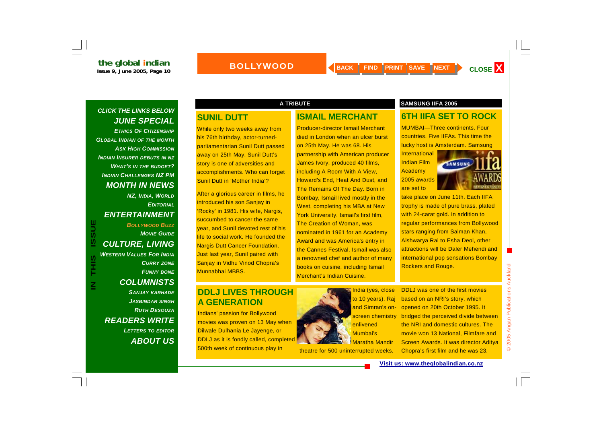### *CLICK THE LINKS BELOW JUNE SPECIAL*

*ETHICS OF CITIZENSHIPGLOBAL INDIAN OF THE MONTH ASK HIGH COMMISSION INDIAN INSURER DEBUTS IN NZ WHAT'S IN THE BUDGET? INDIAN CHALLENGES NZ PM MONTH IN NEWS* 

*NZ, INDIA, WORLD EDITORIALENTERTAINMENT* 

## *BOLLYWOOD BUZZMOVIE GUIDECULTURE, LIVING WESTERN VALUES FOR INDIACURRY ZONE*

*FUNNY BONE COLUMNISTS SANJAY KARHADE JASBINDAR SINGH RUTH DESOUZAREADERS WRITE LETTERS TO EDITOR ABOUT US*

### **SUNIL DUTT**

While only two weeks away from his 76th birthday, actor-turnedparliamentarian Sunil Dutt passed away on 25th May. Sunil Dutt's story is one of adversities and accomplishments. Who can forget Sunil Dutt in 'Mother India'?

**IN BOLLYWOOD BUZZ**<br>
MOVIE GUIDE<br>
MOVIE GUIDE<br>
MESTERN VALUES FOR INDIA<br>
CULTURE, LIVING<br>
CURRY ZONE<br>
DRIGH BANJAY KARHADE<br>
DRIGH DOLJ LIVES THROUGH After a glorious career in films, he introduced his son Sanjay in 'Rocky' in 1981. His wife, Nargis, succumbed to cancer the same year, and Sunil devoted rest of his life to social work. He founded the Nargis Dutt Cancer Foundation. Just last year, Sunil paired with Sanjay in Vidhu Vinod Chopra's Munnabhai MBBS.

# **A GENERATION**

Indians' passion for Bollywood movies was proven on 13 May when Dilwale Dulhania Le Jayenge, or DDLJ as it is fondly called, completed 500th week of continuous play in

### **ISMAIL MERCHANT**

Producer-director Ismail Merchant died in London when an ulcer burst on 25th May. He was 68. His partnership with American producer James Ivory, produced 40 films, including A Room With A View, Howard's End, Heat And Dust, and The Remains Of The Day. Born in Bombay, Ismail lived mostly in the West, completing his MBA at New York University. Ismail's first film, The Creation of Woman, was nominated in 1961 for an Academy Award and was America's entry in the Cannes Festival. Ismail was also a renowned chef and author of many books on cuisine, including Ismail Merchant's Indian Cuisine.



**India (yes, close** to 10 years). Raj and Simran's onscreen chemistry enlivened Mumbai's Maratha Mandir

theatre for 500 uninterrupted weeks.

### **A TRIBUTE SAMSUNG IIFA 2005**

### **6TH IIFA SET TO ROCK**

MUMBAI—Three continents. Four countries. Five IIFAs. This time the lucky host is Amsterdam. Samsung

**International** Indian Film Academy 2005 awards are set to



take place on June 11th. Each IIFA trophy is made of pure brass, plated with 24-carat gold. In addition to regular performances from Bollywood stars ranging from Salman Khan, Aishwarya Rai to Esha Deol, other attractions will be Daler Mehendi and international pop sensations Bombay Rockers and Rouge.

DDLJ was one of the first movies based on an NRI's story, which opened on 20th October 1995. It

bridged the perceived divide between the NRI and domestic cultures. The movie won 13 National, Filmfare and Screen Awards. It was director Aditya

Chopra's first film and he was 23.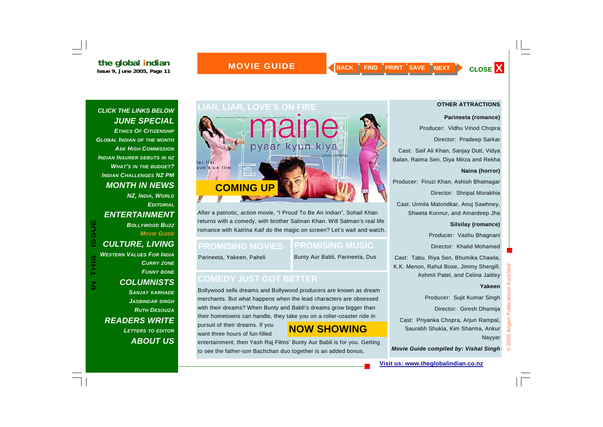*CLICK THE LINKS BELOW* 

*GLOBAL INDIAN OF THE MONTH*

*INDIAN INSURER DEBUTS IN NZ*

*JUNE SPECIAL ETHICS OF CITIZENSHIP*

*ASK HIGH COMMISSION*

*WHAT'S IN THE BUDGET? INDIAN CHALLENGES NZ PM* 

*NZ, INDIA, WORLD*

*BOLLYWOOD BUZZ*

*MOVIE GUIDE*

*EDITORIAL*

*MONTH IN NEWS* 

*ENTERTAINMENT* 

*CULTURE, LIVING* 

### **ISACK FIND PRINT SAVE NEXT CLOSE X**

### **MOVIE GUIDE**

### **OTHER ATTRACTIONS**

### **Parineeta (romance)**

Producer: Vidhu Vinod Chopra

Director: Pradeep Sarkar

Cast: Saif Ali Khan, Sanjay Dutt, Vidya Balan, Raima Sen, Diya Mirza and Rekha

### **Naina (horror)**

Producer: Firuzi Khan, Ashish Bhatnagar

Director: Shripal Morakhia

Cast: Urmila Matondkar, Anuj Sawhney, Shweta Konnur, and Amardeep Jha

**Silsilay (romance)** 

Producer: Vashu Bhagnani

Director: Khalid Mohamed

Cast: Tabu, Riya Sen, Bhumika Chawla, K.K. Menon, Rahul Bose, Jimmy Shergill, Ashmit Patel, and Celina Jaitley

### **Yakeen**

Producer: Sujit Kumar Singh

Director: Giresh Dhamija

Cast: Priyanka Chopra, Arjun Rampal, Saurabh Shukla, Kim Sharma, Ankur Nayyar

*Movie Guide compiled by: Vishal Singh*

# **LIAR, LIAR, LOVE'S ON FIRE maine** iar liar, ove's on fire  **COMING UP**

**IN THIS ISSUE ISSUE ISSUE ISSUE CONEDY JUST GOT BETTER<br>
SANJAY KARHADE<br>
BOLLYMISTS<br>
COLUMNISTS<br>
BOLLYMISTS<br>
BOLLYMISTS<br>
BOLLYMISTS<br>
BOLLYMISTS<br>
BOLLYMISTS<br>
BOLLYMISTS<br>
BOLLY JUST GOT BETTER<br>
SANJAY KARHADE<br>
BOLLY JUST GOT** After a patriotic, action movie, "I Proud To Be An Indian", Sohail Khan returns with a comedy, with brother Salman Khan. Will Salman's real life romance with Katrina Kaif do the magic on screen? Let's wait and watch.

### **PROMISING MOVIES**

# **PROMISING MUSIC**

Parineeta, Yakeen, Paheli

Bunty Aur Babli, Parineeta, Dus

merchants. But what happens when the lead characters are obsessed with their dreams? When Bunty and Babli's dreams grow bigger than their hometowns can handle, they take you on a roller-coaster ride in

pursuit of their dreams. If you want three hours of fun-filled

# **NOW SHOWING**

entertainment, then Yash Raj Films' Bunty Aur Babli is for you. Getting to see the father-son Bachchan duo together is an added bonus.

### **Visit us: www.theglobalindian.co.nz**

### *CURRY ZONE FUNNY BONE COLUMNISTS SANJAY KARHADE JASBINDAR SINGH RUTH DESOUZAREADERS WRITE LETTERS TO EDITOR ABOUT US*

*WESTERN VALUES FOR INDIA*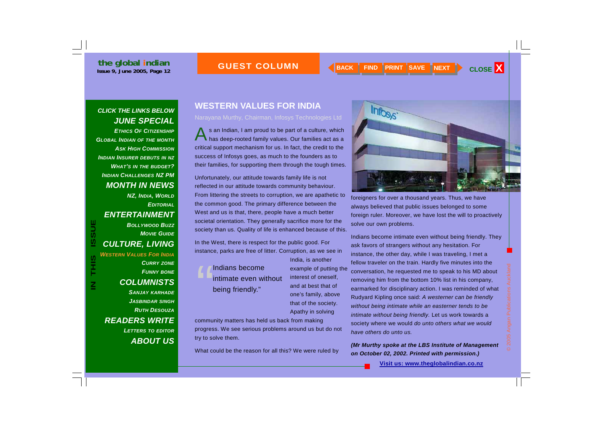### **GUEST COLUMN**

### *CLICK THE LINKS BELOW JUNE SPECIAL*

*ETHICS OF CITIZENSHIPGLOBAL INDIAN OF THE MONTH ASK HIGH COMMISSIONINDIAN INSURER DEBUTS IN NZ WHAT'S IN THE BUDGET? INDIAN CHALLENGES NZ PM MONTH IN NEWS* 

*NZ, INDIA, WORLD EDITORIALENTERTAINMENT BOLLYWOOD BUZZMOVIE GUIDE*

*CULTURE, LIVING WESTERN VALUES FOR INDIA*

*CURRY ZONE FUNNY BONE COLUMNISTS SANJAY KARHADE JASBINDAR SINGH RUTH DESOUZAREADERS WRITE LETTERS TO EDITOR ABOUT US***IN THIS ISSUE TO A THE COLUMNISTS**<br> **IN THE COLUMNISTS**<br> **IN THE COLUMNISTS**<br> **IN THE COLUMNISTS**<br> **IN THE COLUMNISTS**<br> **IN THE COLUMNISTS**<br> **IN THE COLUMNISTS**<br> **IN THE COLUMNISTS**<br>
SANJAY KARHADE

## **WESTERN VALUES FOR INDIA**

### Narayana Murthy, Chairman, Infosys Technologies Ltd

s an Indian, I am proud to be part of a culture, which has deep-rooted family values. Our families act as a critical support mechanism for us. In fact, the credit to the success of Infosys goes, as much to the founders as to their families, for supporting them through the tough times.

Unfortunately, our attitude towards family life is not reflected in our attitude towards community behaviour. From littering the streets to corruption, we are apathetic to the common good. The primary difference between the West and us is that, there, people have a much better societal orientation. They generally sacrifice more for the society than us. Quality of life is enhanced because of this.

In the West, there is respect for the public good. For instance, parks are free of litter. Corruption, as we see in

India, is another example of putting the interest of oneself, and at best that of one's family, above that of the society. Apathy in solving

community matters has held us back from making progress. We see serious problems around us but do not try to solve them.

What could be the reason for all this? We were ruled by



foreigners for over a thousand years. Thus, we have always believed that public issues belonged to some foreign ruler. Moreover, we have lost the will to proactively solve our own problems.

Indians become intimate even without being friendly. They ask favors of strangers without any hesitation. For instance, the other day, while I was traveling, I met a fellow traveler on the train. Hardly five minutes into the conversation, he requested me to speak to his MD about removing him from the bottom 10% list in his company, earmarked for disciplinary action. I was reminded of what Rudyard Kipling once said: *A westerner can be friendly without being intimate while an easterner tends to be intimate without being friendly.* Let us work towards a society where we would *do unto others what we would have others do unto us.* 

*(Mr Murthy spoke at the LBS Institute of Management on October 02, 2002. Printed with permission.)*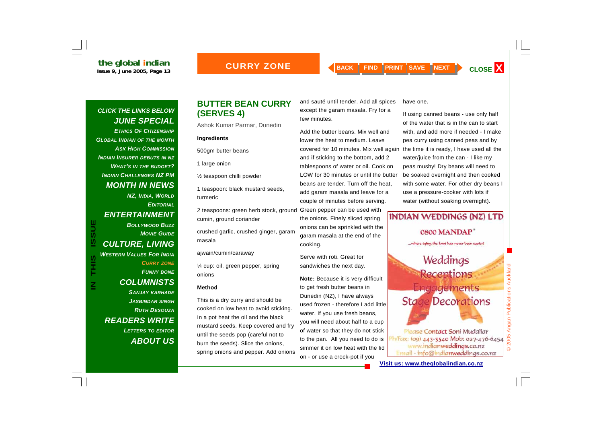### **CURRY ZONE**

### *CLICK THE LINKS BELOW JUNE SPECIAL*

*ETHICS OF CITIZENSHIPGLOBAL INDIAN OF THE MONTH ASK HIGH COMMISSION INDIAN INSURER DEBUTS IN NZ WHAT'S IN THE BUDGET? INDIAN CHALLENGES NZ PM MONTH IN NEWS* 

*NZ, INDIA, WORLD EDITORIALENTERTAINMENT BOLLYWOOD BUZZMOVIE GUIDECULTURE, LIVING WESTERN VALUES FOR INDIACURRY ZONE FUNNY BONE COLUMNISTS SANJAY KARHADE*

**IN THIS ISSUE**

S<br>HIS

 $\mathsf{\Xi}% _{M_{1},M_{2}}^{\alpha,\beta}(\varepsilon)=\mathsf{\Xi}_{M_{1},M_{2}}^{\alpha,\beta}(\varepsilon)$ 

**ISSUE** 

*JASBINDAR SINGH RUTH DESOUZA*

*LETTERS TO EDITOR ABOUT US*

*READERS WRITE* 

### **BUTTER BEAN CURRY (SERVES 4)**

Ashok Kumar Parmar, Dunedin

### **Ingredients**

500gm butter beans

1 large onion

½ teaspoon chilli powder

1 teaspoon: black mustard seeds, turmeric

2 teaspoons: green herb stock, ground cumin, ground coriander

crushed garlic, crushed ginger, garam masala

ajwain/cumin/caraway

¼ cup: oil, green pepper, spring onions

### **Method**

This is a dry curry and should be cooked on low heat to avoid sticking. In a pot heat the oil and the black mustard seeds. Keep covered and fry until the seeds pop (careful not to burn the seeds). Slice the onions, spring onions and pepper. Add onions and sauté until tender. Add all spices except the garam masala. Fry for a few minutes.

Add the butter beans. Mix well and lower the heat to medium. Leave covered for 10 minutes. Mix well again and if sticking to the bottom, add 2 tablespoons of water or oil. Cook on LOW for 30 minutes or until the butter beans are tender. Turn off the heat, add garam masala and leave for a couple of minutes before serving.

Green pepper can be used with the onions. Finely sliced spring onions can be sprinkled with the garam masala at the end of the cooking.

Serve with roti. Great for sandwiches the next day.

**Note:** Because it is very difficult to get fresh butter beans in Dunedin (NZ), I have always used frozen - therefore I add little water. If you use fresh beans, you will need about half to a cup of water so that they do not stick to the pan. All you need to do is simmer it on low heat with the lid on - or use a crock-pot if you

have one.

If using canned beans - use only half of the water that is in the can to start with, and add more if needed - I make pea curry using canned peas and by the time it is ready, I have used all the water/juice from the can - I like my peas mushy! Dry beans will need to be soaked overnight and then cooked with some water. For other dry beans I use a pressure-cooker with lots if water (without soaking overnight).

# INDIAN WEDDINGS (NZ) LTD 0800 MANDAP ... where tying the knot has never been easier! Weddings **Receptions Engagements Stage Decorations**

Please Contact Soni Mudaliar h/Fax: (09) 443-3540 Mob: 027-476-6454 www.indianweddings.co.nz Email - info@indianweddings.co.nz

**Visit us: www.theglobalindian.co.nz**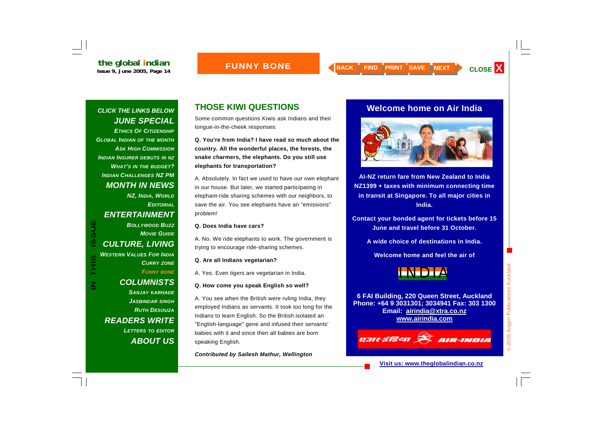### **FUNNY BONE**

### *CLICK THE LINKS BELOW JUNE SPECIAL*

*ETHICS OF CITIZENSHIPGLOBAL INDIAN OF THE MONTH ASK HIGH COMMISSION INDIAN INSURER DEBUTS IN NZ WHAT'S IN THE BUDGET? INDIAN CHALLENGES NZ PM MONTH IN NEWS* 

*NZ, INDIA, WORLD EDITORIALENTERTAINMENT BOLLYWOOD BUZZMOVIE GUIDECULTURE, LIVING WESTERN VALUES FOR INDIACURRY ZONE FUNNY BONE*

**IN THIS ISSUE**

S<br>HIS

**ISSUE** 

*COLUMNISTS SANJAY KARHADE JASBINDAR SINGH RUTH DESOUZAREADERS WRITE LETTERS TO EDITOR ABOUT US*

## **THOSE KIWI QUESTIONS**

Some common questions Kiwis ask Indians and their tongue-in-the-cheek responses:

**Q. You're from India? I have read so much about the country. All the wonderful places, the forests, the snake charmers, the elephants. Do you still use elephants for transportation?** 

A. Absolutely. In fact we used to have our own elephant in our house. But later, we started participating in elephant-ride sharing schemes with our neighbors, to save the air. You see elephants have an "emissions" problem!

### **Q. Does India have cars?**

A. No. We ride elephants to work. The government is trying to encourage ride-sharing schemes.

### **Q. Are all Indians vegetarian?**

A. Yes. Even tigers are vegetarian in India.

### **Q. How come you speak English so well?**

A. You see when the British were ruling India, they employed Indians as servants. It took too long for the Indians to learn English. So the British isolated an "English-language" gene and infused their servants' babies with it and since then all babies are born speaking English.

*Contributed by Sailesh Mathur, Wellington*

### **Welcome home on Air India**



**AI-NZ return fare from New Zealand to India NZ1399 + taxes with minimum connecting time in transit at Singapore. To all major cities in India.** 

**Contact your bonded agent for tickets before 15 June and travel before 31 October.** 

**A wide choice of destinations in India.** 

**Welcome home and feel the air of** 



**6 FAI Building, 220 Queen Street, Auckland Phone: +64 9 3031301; 3034941 Fax: 303 1300 Email: airindia@xtra.co.nz www.airindia.com**

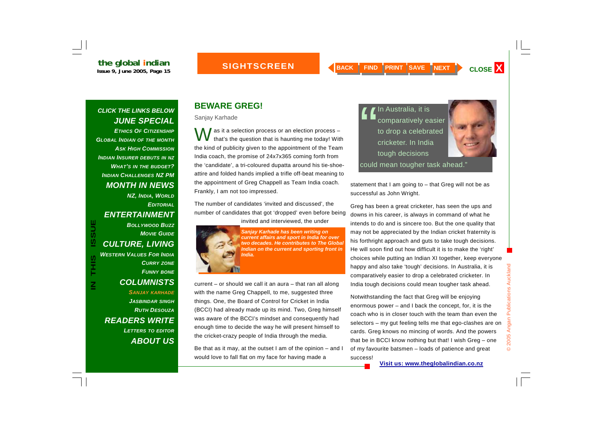### **SIGHTSCREEN**

success!

### *CLICK THE LINKS BELOW JUNE SPECIAL*

*ETHICS OF CITIZENSHIPGLOBAL INDIAN OF THE MONTH ASK HIGH COMMISSION INDIAN INSURER DEBUTS IN NZ WHAT'S IN THE BUDGET? INDIAN CHALLENGES NZ PM MONTH IN NEWS* 

### *NZ, INDIA, WORLD EDITORIALENTERTAINMENT*

*BOLLYWOOD BUZZMOVIE GUIDECULTURE, LIVING WESTERN VALUES FOR INDIACURRY ZONE FUNNY BONE COLUMNISTS SANJAY KARHADE JASBINDAR SINGH RUTH DESOUZAREADERS WRITE*  **IN THIS ISSUERT COLLYWOOD BUZZ**<br> **IN THIS ISSUE** *Sanjay Karhade has been writing on***<br>
<b>ISSUERT COLL TURE, LIVING**<br> **IN THIS ISSUE FOR INDIA**<br> **IN THIS ISSUE FOR INDIA**<br> **IN THIS INSTERN VALUES FOR INDIA**<br> **IN THIS ISSUE F** 

> *LETTERS TO EDITOR ABOUT US*

## **BEWARE GREG!**

Sanjay Karhade

 $\int$  as it a selection process or an election process –<br>that's the question that is haunting me today! With the kind of publicity given to the appointment of the Team India coach, the promise of 24x7x365 coming forth from the 'candidate', a tri-coloured dupatta around his tie-shoeattire and folded hands implied a trifle off-beat meaning to the appointment of Greg Chappell as Team India coach. Frankly, I am not too impressed.

The number of candidates 'invited and discussed', the number of candidates that got 'dropped' even before being invited and interviewed, the under



current – or should we call it an aura – that ran all along with the name Greg Chappell, to me, suggested three things. One, the Board of Control for Cricket in India (BCCI) had already made up its mind. Two, Greg himself was aware of the BCCI's mindset and consequently had enough time to decide the way he will present himself to the cricket-crazy people of India through the media.

Be that as it may, at the outset I am of the opinion – and I would love to fall flat on my face for having made a

 $\blacksquare$  In Australia, it is<br> $\blacksquare$  comparatively easier<br>to drop a celebrated<br>cricketer. In India tough decisions



could mean tougher task ahead."

statement that I am going to – that Greg will not be as successful as John Wright.

Greg has been a great cricketer, has seen the ups and downs in his career, is always in command of what he intends to do and is sincere too. But the one quality that may not be appreciated by the Indian cricket fraternity is his forthright approach and guts to take tough decisions. He will soon find out how difficult it is to make the 'right' choices while putting an Indian XI together, keep everyone happy and also take 'tough' decisions. In Australia, it is comparatively easier to drop a celebrated cricketer. In India tough decisions could mean tougher task ahead.

Notwithstanding the fact that Greg will be enjoying enormous power – and I back the concept, for, it is the coach who is in closer touch with the team than even the selectors – my gut feeling tells me that ego-clashes are on cards. Greg knows no mincing of words. And the powers that be in BCCI know nothing but that! I wish Greg – one of my favourite batsmen – loads of patience and great

**Visit us: www.theglobalindian.co.nz**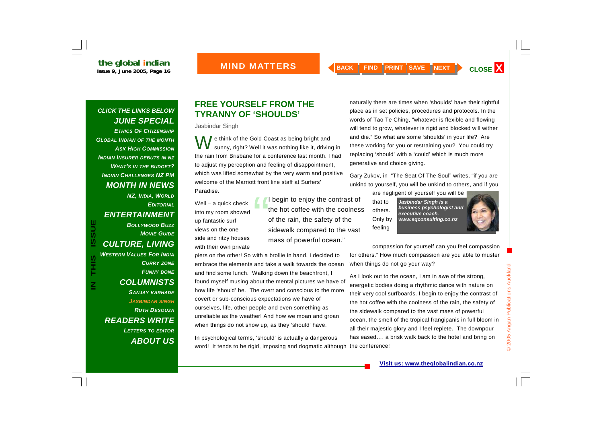### *CLICK THE LINKS BELOW JUNE SPECIAL*

*ETHICS OF CITIZENSHIPGLOBAL INDIAN OF THE MONTH ASK HIGH COMMISSIONINDIAN INSURER DEBUTS IN NZ WHAT'S IN THE BUDGET? INDIAN CHALLENGES NZ PM MONTH IN NEWS* 

*NZ, INDIA, WORLD EDITORIALENTERTAINMENT BOLLYWOOD BUZZMOVIE GUIDECULTURE, LIVING WESTERN VALUES FOR INDIACURRY ZONE FUNNY BONE COLUMNISTS SANJAY KARHADE JASBINDAR SINGH RUTH DESOUZAREADERS WRITE LETTERS TO EDITOR*

**IN THIS ISSUE**

**SIHL** 

**ISSUE** 

*ABOUT US*

### **FREE YOURSELF FROM THE TYRANNY OF 'SHOULDS'**

Jasbindar Singh

e think of the Gold Coast as being bright and<br>sunny, right? Well it was nothing like it, driving in the rain from Brisbane for a conference last month. I had to adjust my perception and feeling of disappointment, which was lifted somewhat by the very warm and positive welcome of the Marriott front line staff at Surfers' Paradise.

- Well a quick check into my room showed up fantastic surf views on the one side and ritzy houses with their own private
- I begin to enjoy the contrast of the hot coffee with the coolness of the rain, the safety of the sidewalk compared to the vast mass of powerful ocean."

piers on the other! So with a brollie in hand, I decided to embrace the elements and take a walk towards the ocean and find some lunch. Walking down the beachfront, I found myself musing about the mental pictures we have of how life 'should' be. The overt and conscious to the more covert or sub-conscious expectations we have of ourselves, life, other people and even something as unreliable as the weather! And how we moan and groan when things do not show up, as they 'should' have.

In psychological terms, 'should' is actually a dangerous word! It tends to be rigid, imposing and dogmatic although the conference!

naturally there are times when 'shoulds' have their rightful place as in set policies, procedures and protocols. In the words of Tao Te Ching, "whatever is flexible and flowing will tend to grow, whatever is rigid and blocked will wither and die." So what are some 'shoulds' in your life? Are these working for you or restraining you? You could try replacing 'should' with a 'could' which is much more generative and choice giving.

Gary Zukov, in "The Seat Of The Soul" writes, "if you are unkind to yourself, you will be unkind to others, and if you

are negligent of yourself you will be

that to others. Only by feeling

*Jasbindar Singh is a business psychologist and executive coach. www.sqconsulting.co.nz* 



compassion for yourself can you feel compassion for others." How much compassion are you able to muster when things do not go your way?

As I look out to the ocean, I am in awe of the strong, energetic bodies doing a rhythmic dance with nature on their very cool surfboards. I begin to enjoy the contrast of the hot coffee with the coolness of the rain, the safety of the sidewalk compared to the vast mass of powerful ocean, the smell of the tropical frangipanis in full bloom in all their majestic glory and I feel replete. The downpour has eased…. a brisk walk back to the hotel and bring on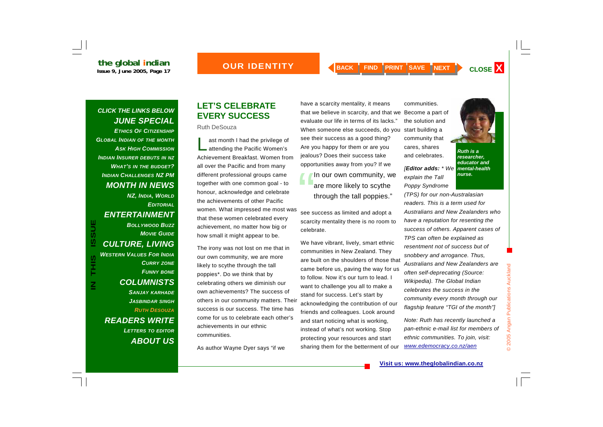### *<u>OUR IDENTITY</u>*

### *CLICK THE LINKS BELOW JUNE SPECIAL*

**the global indian** 

*ETHICS OF CITIZENSHIPGLOBAL INDIAN OF THE MONTH ASK HIGH COMMISSIONINDIAN INSURER DEBUTS IN NZ WHAT'S IN THE BUDGET? INDIAN CHALLENGES NZ PM MONTH IN NEWS* 

*NZ, INDIA, WORLD EDITORIALENTERTAINMENT BOLLYWOOD BUZZMOVIE GUIDECULTURE, LIVING WESTERN VALUES FOR INDIACURRY ZONE FUNNY BONE COLUMNISTS SANJAY KARHADE JASBINDAR SINGH*

**IN THIS ISSUE**

S<br>H<br>H<br>H

 $\mathsf{\Xi}% _{M_{1},M_{2}}^{\alpha,\beta}(\varepsilon)=\mathsf{\Xi}_{M_{1},M_{2}}^{\alpha,\beta}(\varepsilon)$ 

**ISSUE** 

*RUTH DESOUZAREADERS WRITE LETTERS TO EDITOR ABOUT US*

### **LET'S CELEBRATE EVERY SUCCESS**

### Ruth DeSouza

ast month I had the privilege of<br>attending the Pacific Women's Achievement Breakfast. Women from all over the Pacific and from many different professional groups came together with one common goal - to honour, acknowledge and celebrate the achievements of other Pacific women. What impressed me most was that these women celebrated every achievement, no matter how big or how small it might appear to be.

The irony was not lost on me that in our own community, we are more likely to scythe through the tall poppies\*. Do we think that by celebrating others we diminish our own achievements? The success of others in our community matters. Their success is our success. The time has come for us to celebrate each other's achievements in our ethnic communities.

As author Wayne Dyer says "if we

have a scarcity mentality, it means that we believe in scarcity, and that we Become a part of evaluate our life in terms of its lacks." When someone else succeeds, do you start building a see their success as a good thing? Are you happy for them or are you jealous? Does their success take opportunities away from you? If we

In our own community, we are more likely to scythe through the tall poppies."

see success as limited and adopt a scarcity mentality there is no room to celebrate.

We have vibrant, lively, smart ethnic communities in New Zealand. They are built on the shoulders of those that came before us, paving the way for us to follow. Now it's our turn to lead. I want to challenge you all to make a stand for success. Let's start by acknowledging the contribution of our friends and colleagues. Look around and start noticing what is working, instead of what's not working. Stop protecting your resources and start sharing them for the betterment of our

communities. the solution and community that cares, shares

*nurse.* 

and celebrates. *Ruth is a researcher, educator and* 

*[Editor adds: \* We mental-health explain the Tall Poppy Syndrome* 

*(TPS) for our non-Australasian readers. This is a term used for Australians and New Zealanders who have a reputation for resenting the success of others. Apparent cases of TPS can often be explained as resentment not of success but of snobbery and arrogance. Thus, Australians and New Zealanders are often self-deprecating (Source: Wikipedia). The Global Indian celebrates the success in the community every month through our flagship feature "TGI of the month"]* 

*Note: Ruth has recently launched a pan-ethnic e-mail list for members of ethnic communities. To join, visit: www.edemocracy.co.nz/aen*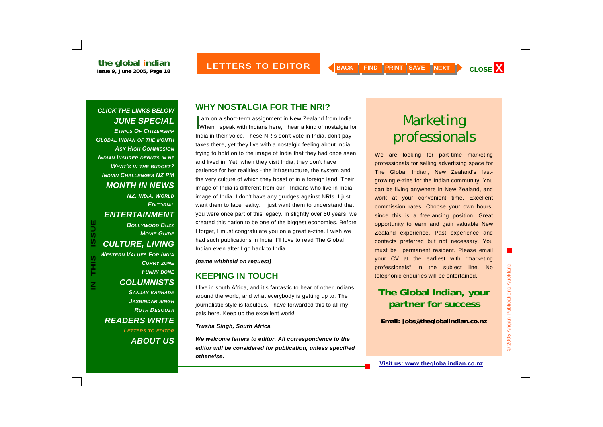### *CLICK THE LINKS BELOW JUNE SPECIAL ETHICS OF CITIZENSHIP*

*GLOBAL INDIAN OF THE MONTH ASK HIGH COMMISSIONINDIAN INSURER DEBUTS IN NZ WHAT'S IN THE BUDGET? INDIAN CHALLENGES NZ PM MONTH IN NEWS* 

*NZ, INDIA, WORLD EDITORIALENTERTAINMENT BOLLYWOOD BUZZMOVIE GUIDECULTURE, LIVING WESTERN VALUES FOR INDIA*

**IN THIS ISSUE**

**SIHL** 

 $\overline{\mathsf{z}}$ 

**ISSUE** 

*CURRY ZONE FUNNY BONE COLUMNISTS SANJAY KARHADE JASBINDAR SINGH RUTH DESOUZAREADERS WRITE LETTERS TO EDITOR ABOUT US*

### **WHY NOSTALGIA FOR THE NRI?**

am on a short-term assignment in New Zealand from India.<br>When I speak with Indians here, I hear a kind of nostalgia for India in their voice. These NRIs don't vote in India, don't pay taxes there, yet they live with a nostalgic feeling about India, trying to hold on to the image of India that they had once seen and lived in. Yet, when they visit India, they don't have patience for her realities - the infrastructure, the system and the very culture of which they boast of in a foreign land. Their image of India is different from our - Indians who live in India image of India. I don't have any grudges against NRIs. I just want them to face reality. I just want them to understand that you were once part of this legacy. In slightly over 50 years, we created this nation to be one of the biggest economies. Before I forget, I must congratulate you on a great e-zine. I wish we had such publications in India. I'll love to read The Global Indian even after I go back to India.

### *(name withheld on request)*

### **KEEPING IN TOUCH**

I live in south Africa, and it's fantastic to hear of other Indians around the world, and what everybody is getting up to. The journalistic style is fabulous, I have forwarded this to all my pals here. Keep up the excellent work!

### *Trusha Singh, South Africa*

*We welcome letters to editor. All correspondence to the editor will be considered for publication, unless specified otherwise.*

# Marketing professionals

We are looking for part-time marketing professionals for selling advertising space for The Global Indian, New Zealand's fastgrowing e-zine for the Indian community. You can be living anywhere in New Zealand, and work at your convenient time. Excellent commission rates. Choose your own hours, since this is a freelancing position. Great opportunity to earn and gain valuable New Zealand experience. Past experience and contacts preferred but not necessary. You must be permanent resident. Please email your CV at the earliest with "marketing professionals" in the subject line. No telephonic enquiries will be entertained.

## **The Global Indian, your partner for success**

**Email: jobs@theglobalindian.co.nz**